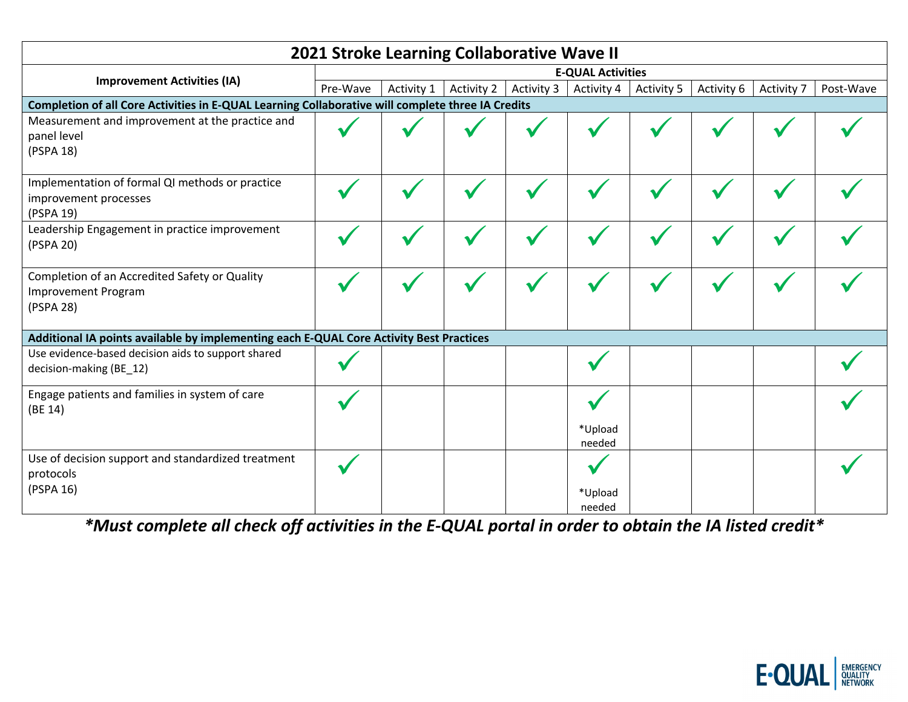| 2021 Stroke Learning Collaborative Wave II                                                        |                          |            |            |            |                   |            |            |            |           |
|---------------------------------------------------------------------------------------------------|--------------------------|------------|------------|------------|-------------------|------------|------------|------------|-----------|
| <b>Improvement Activities (IA)</b>                                                                | <b>E-QUAL Activities</b> |            |            |            |                   |            |            |            |           |
|                                                                                                   | Pre-Wave                 | Activity 1 | Activity 2 | Activity 3 | Activity 4        | Activity 5 | Activity 6 | Activity 7 | Post-Wave |
| Completion of all Core Activities in E-QUAL Learning Collaborative will complete three IA Credits |                          |            |            |            |                   |            |            |            |           |
| Measurement and improvement at the practice and<br>panel level<br>(PSPA 18)                       |                          |            |            |            |                   |            |            |            |           |
| Implementation of formal QI methods or practice<br>improvement processes<br>(PSPA 19)             |                          |            |            |            |                   |            |            |            |           |
| Leadership Engagement in practice improvement<br>(PSPA 20)                                        |                          |            |            |            |                   |            |            |            |           |
| Completion of an Accredited Safety or Quality<br><b>Improvement Program</b><br>(PSPA 28)          |                          |            |            |            |                   |            |            |            |           |
| Additional IA points available by implementing each E-QUAL Core Activity Best Practices           |                          |            |            |            |                   |            |            |            |           |
| Use evidence-based decision aids to support shared<br>decision-making (BE_12)                     |                          |            |            |            |                   |            |            |            |           |
| Engage patients and families in system of care<br>(BE 14)                                         |                          |            |            |            | *Upload<br>needed |            |            |            |           |
| Use of decision support and standardized treatment<br>protocols<br>(PSPA 16)                      |                          |            |            |            | *Upload<br>needed |            |            |            |           |

*\*Must complete all check off activities in the E-QUAL portal in order to obtain the IA listed credit\**